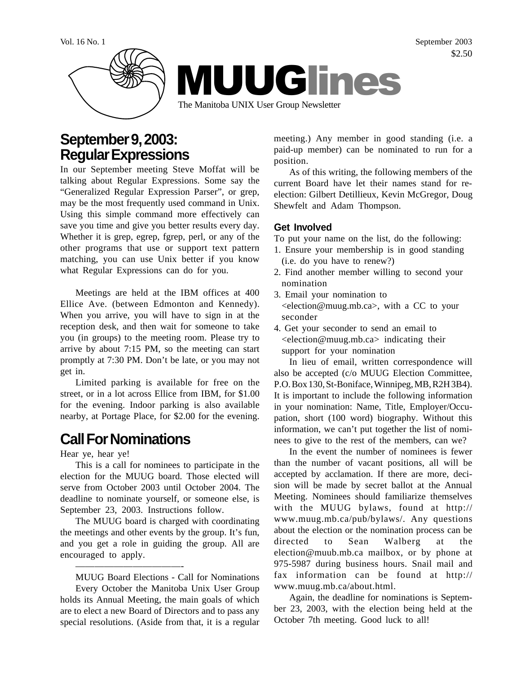

## **September 9, 2003: Regular Expressions**

In our September meeting Steve Moffat will be talking about Regular Expressions. Some say the "Generalized Regular Expression Parser", or grep, may be the most frequently used command in Unix. Using this simple command more effectively can save you time and give you better results every day. Whether it is grep, egrep, fgrep, perl, or any of the other programs that use or support text pattern matching, you can use Unix better if you know what Regular Expressions can do for you.

Meetings are held at the IBM offices at 400 Ellice Ave. (between Edmonton and Kennedy). When you arrive, you will have to sign in at the reception desk, and then wait for someone to take you (in groups) to the meeting room. Please try to arrive by about 7:15 PM, so the meeting can start promptly at 7:30 PM. Don't be late, or you may not get in.

Limited parking is available for free on the street, or in a lot across Ellice from IBM, for \$1.00 for the evening. Indoor parking is also available nearby, at Portage Place, for \$2.00 for the evening.

## **Call For Nominations**

———————————-

Hear ye, hear ye!

This is a call for nominees to participate in the election for the MUUG board. Those elected will serve from October 2003 until October 2004. The deadline to nominate yourself, or someone else, is September 23, 2003. Instructions follow.

The MUUG board is charged with coordinating the meetings and other events by the group. It's fun, and you get a role in guiding the group. All are encouraged to apply.

MUUG Board Elections - Call for Nominations Every October the Manitoba Unix User Group holds its Annual Meeting, the main goals of which are to elect a new Board of Directors and to pass any special resolutions. (Aside from that, it is a regular

meeting.) Any member in good standing (i.e. a paid-up member) can be nominated to run for a position.

As of this writing, the following members of the current Board have let their names stand for reelection: Gilbert Detillieux, Kevin McGregor, Doug Shewfelt and Adam Thompson.

### **Get Involved**

To put your name on the list, do the following:

- 1. Ensure your membership is in good standing (i.e. do you have to renew?)
- 2. Find another member willing to second your nomination
- 3. Email your nomination to  $\leq$ election@muug.mb.ca $>$ , with a CC to your seconder
- 4. Get your seconder to send an email to  $\leq$ election@muug.mb.ca $>$  indicating their support for your nomination

In lieu of email, written correspondence will also be accepted (c/o MUUG Election Committee, P.O. Box 130, St-Boniface, Winnipeg, MB, R2H 3B4). It is important to include the following information in your nomination: Name, Title, Employer/Occupation, short (100 word) biography. Without this information, we can't put together the list of nominees to give to the rest of the members, can we?

In the event the number of nominees is fewer than the number of vacant positions, all will be accepted by acclamation. If there are more, decision will be made by secret ballot at the Annual Meeting. Nominees should familiarize themselves with the MUUG bylaws, found at http:// www.muug.mb.ca/pub/bylaws/. Any questions about the election or the nomination process can be directed to Sean Walberg at the election@muub.mb.ca mailbox, or by phone at 975-5987 during business hours. Snail mail and fax information can be found at http:// www.muug.mb.ca/about.html.

Again, the deadline for nominations is September 23, 2003, with the election being held at the October 7th meeting. Good luck to all!

Vol. 16 No. 1 September 2003 \$2.50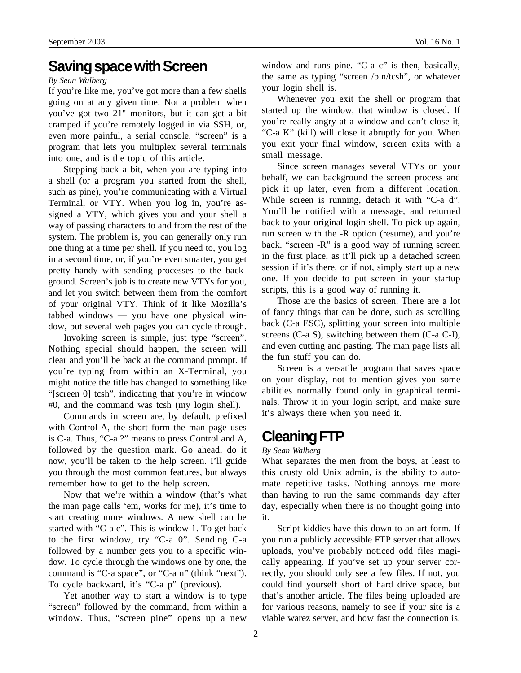## **Saving space with Screen**

#### *By Sean Walberg*

If you're like me, you've got more than a few shells going on at any given time. Not a problem when you've got two 21" monitors, but it can get a bit cramped if you're remotely logged in via SSH, or, even more painful, a serial console. "screen" is a program that lets you multiplex several terminals into one, and is the topic of this article.

Stepping back a bit, when you are typing into a shell (or a program you started from the shell, such as pine), you're communicating with a Virtual Terminal, or VTY. When you log in, you're assigned a VTY, which gives you and your shell a way of passing characters to and from the rest of the system. The problem is, you can generally only run one thing at a time per shell. If you need to, you log in a second time, or, if you're even smarter, you get pretty handy with sending processes to the background. Screen's job is to create new VTYs for you, and let you switch between them from the comfort of your original VTY. Think of it like Mozilla's tabbed windows — you have one physical window, but several web pages you can cycle through.

Invoking screen is simple, just type "screen". Nothing special should happen, the screen will clear and you'll be back at the command prompt. If you're typing from within an X-Terminal, you might notice the title has changed to something like "[screen 0] tcsh", indicating that you're in window #0, and the command was tcsh (my login shell).

Commands in screen are, by default, prefixed with Control-A, the short form the man page uses is C-a. Thus, "C-a ?" means to press Control and A, followed by the question mark. Go ahead, do it now, you'll be taken to the help screen. I'll guide you through the most common features, but always remember how to get to the help screen.

Now that we're within a window (that's what the man page calls 'em, works for me), it's time to start creating more windows. A new shell can be started with "C-a c". This is window 1. To get back to the first window, try "C-a 0". Sending C-a followed by a number gets you to a specific window. To cycle through the windows one by one, the command is "C-a space", or "C-a n" (think "next"). To cycle backward, it's "C-a p" (previous).

Yet another way to start a window is to type "screen" followed by the command, from within a window. Thus, "screen pine" opens up a new

window and runs pine. "C-a c" is then, basically, the same as typing "screen /bin/tcsh", or whatever your login shell is.

Whenever you exit the shell or program that started up the window, that window is closed. If you're really angry at a window and can't close it, "C-a K" (kill) will close it abruptly for you. When you exit your final window, screen exits with a small message.

Since screen manages several VTYs on your behalf, we can background the screen process and pick it up later, even from a different location. While screen is running, detach it with "C-a d". You'll be notified with a message, and returned back to your original login shell. To pick up again, run screen with the -R option (resume), and you're back. "screen -R" is a good way of running screen in the first place, as it'll pick up a detached screen session if it's there, or if not, simply start up a new one. If you decide to put screen in your startup scripts, this is a good way of running it.

Those are the basics of screen. There are a lot of fancy things that can be done, such as scrolling back (C-a ESC), splitting your screen into multiple screens (C-a S), switching between them (C-a C-I), and even cutting and pasting. The man page lists all the fun stuff you can do.

Screen is a versatile program that saves space on your display, not to mention gives you some abilities normally found only in graphical terminals. Throw it in your login script, and make sure it's always there when you need it.

# **Cleaning FTP**

#### *By Sean Walberg*

What separates the men from the boys, at least to this crusty old Unix admin, is the ability to automate repetitive tasks. Nothing annoys me more than having to run the same commands day after day, especially when there is no thought going into it.

Script kiddies have this down to an art form. If you run a publicly accessible FTP server that allows uploads, you've probably noticed odd files magically appearing. If you've set up your server correctly, you should only see a few files. If not, you could find yourself short of hard drive space, but that's another article. The files being uploaded are for various reasons, namely to see if your site is a viable warez server, and how fast the connection is.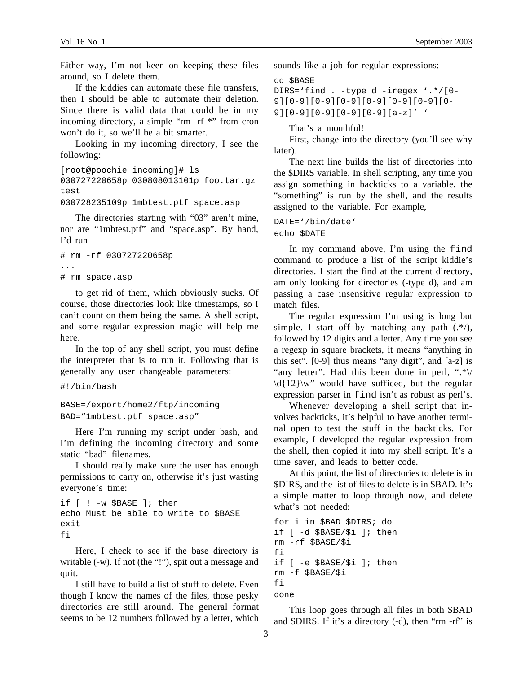Either way, I'm not keen on keeping these files around, so I delete them.

If the kiddies can automate these file transfers, then I should be able to automate their deletion. Since there is valid data that could be in my incoming directory, a simple "rm -rf \*" from cron won't do it, so we'll be a bit smarter.

Looking in my incoming directory, I see the following:

[root@poochie incoming]# ls 030727220658p 030808013101p foo.tar.gz test

030728235109p 1mbtest.ptf space.asp

The directories starting with "03" aren't mine, nor are "1mbtest.ptf" and "space.asp". By hand, I'd run

```
# rm -rf 030727220658p
...
# rm space.asp
```
to get rid of them, which obviously sucks. Of course, those directories look like timestamps, so I can't count on them being the same. A shell script, and some regular expression magic will help me here.

In the top of any shell script, you must define the interpreter that is to run it. Following that is generally any user changeable parameters:

```
#!/bin/bash
```
BASE=/export/home2/ftp/incoming BAD="1mbtest.ptf space.asp"

Here I'm running my script under bash, and I'm defining the incoming directory and some static "bad" filenames.

I should really make sure the user has enough permissions to carry on, otherwise it's just wasting everyone's time:

```
if [ ! -w $BASE ]; then
echo Must be able to write to $BASE
exit
fi
```
Here, I check to see if the base directory is writable (-w). If not (the "!"), spit out a message and quit.

I still have to build a list of stuff to delete. Even though I know the names of the files, those pesky directories are still around. The general format seems to be 12 numbers followed by a letter, which

sounds like a job for regular expressions:

```
cd $BASE
DIRS='find . -type d -iregex '.*/[0-
9][0-9][0-9][0-9][0-9][0-9][0-9][0-
9][0-9][0-9][0-9][0-9][a-z]' '
```
That's a mouthful!

First, change into the directory (you'll see why later).

The next line builds the list of directories into the \$DIRS variable. In shell scripting, any time you assign something in backticks to a variable, the "something" is run by the shell, and the results assigned to the variable. For example,

```
DATE='/bin/date'
echo $DATE
```
In my command above, I'm using the find command to produce a list of the script kiddie's directories. I start the find at the current directory, am only looking for directories (-type d), and am passing a case insensitive regular expression to match files.

The regular expression I'm using is long but simple. I start off by matching any path  $(*/),$ followed by 12 digits and a letter. Any time you see a regexp in square brackets, it means "anything in this set". [0-9] thus means "any digit", and [a-z] is "any letter". Had this been done in perl, ".\*\/  $\d{12}\w$  would have sufficed, but the regular expression parser in find isn't as robust as perl's.

Whenever developing a shell script that involves backticks, it's helpful to have another terminal open to test the stuff in the backticks. For example, I developed the regular expression from the shell, then copied it into my shell script. It's a time saver, and leads to better code.

At this point, the list of directories to delete is in \$DIRS, and the list of files to delete is in \$BAD. It's a simple matter to loop through now, and delete what's not needed:

```
for i in $BAD $DIRS; do
if [ -d $BASE/$i ]; then
rm -rf $BASE/$i
fi
if [ -e $BASE/$i ]; then
rm -f $BASE/$i
fi
done
```
This loop goes through all files in both \$BAD and \$DIRS. If it's a directory (-d), then "rm -rf" is